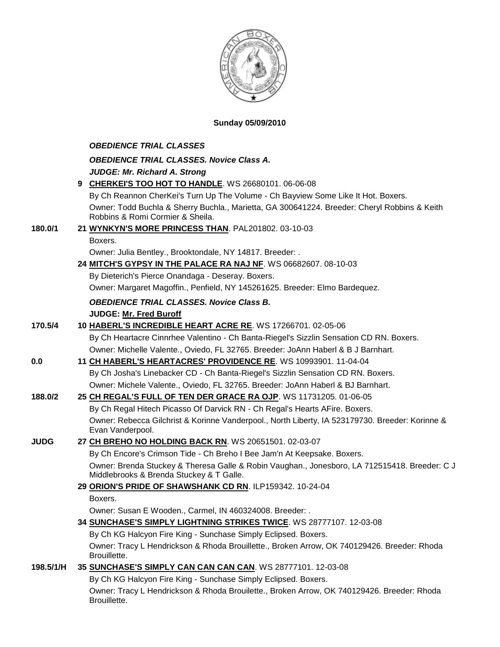

### **Sunday 05/09/2010**

#### *OBEDIENCE TRIAL CLASSES*

| <b>OBEDIENCE TRIAL CLASSES. Novice Class A.</b>                                              |
|----------------------------------------------------------------------------------------------|
| <b>JUDGE: Mr. Richard A. Strong</b>                                                          |
| 9 CHERKEI'S TOO HOT TO HANDLE. WS 26680101. 06-06-08                                         |
| By Ch Reannon CherKei's Turn Up The Volume - Ch Bayview Some Like It Hot. Boxers.            |
| Owner: Todd Buchla & Sherry Buchla., Marietta, GA 300641224. Breeder: Cheryl Robbins & Keith |
| Robbins & Romi Cormier & Sheila.                                                             |
| 21 WYNKYN'S MORE PRINCESS THAN PAL201802 03-10-03                                            |

## **180.0/1 21 [WYNKYN'S MORE PRINCESS THAN](http://canis.infodog.com/files/bdogrsl1.prg;makc=PAL201802;mdog=Wynkyn_s_More_Princess_Than;wins=all)**. PAL201802. 03-10-03

Boxers.

Owner: Julia Bentley., Brooktondale, NY 14817. Breeder: .

**24 [MITCH'S GYPSY IN THE PALACE RA NAJ NF](http://canis.infodog.com/files/bdogrsl1.prg;makc=WS_06682607;mdog=Mitch_s_Gypsy_In_The_Palace_RA_NAJ_NF;wins=all)**. WS 06682607. 08-10-03

By Dieterich's Pierce Onandaga - Deseray. Boxers.

Owner: Margaret Magoffin., Penfield, NY 145261625. Breeder: Elmo Bardequez.

# *OBEDIENCE TRIAL CLASSES. Novice Class B.*

### **JUDGE: [Mr. Fred Buroff](http://www.infodog.com/judges/5277/juddat.htm)**

**170.5/4 10 [HABERL'S INCREDIBLE HEART ACRE RE](http://canis.infodog.com/files/bdogrsl1.prg;makc=WS_17266701;mdog=Haberl_s_Incredible_Heart_Acre_RE;wins=all)**. WS 17266701. 02-05-06 By Ch Heartacre Cinnrhee Valentino - Ch Banta-Riegel's Sizzlin Sensation CD RN. Boxers. Owner: Michelle Valente., Oviedo, FL 32765. Breeder: JoAnn Haberl & B J Barnhart. **0.0 11 CH HABERL'S [HEARTACRES' PROVIDENCE RE](http://canis.infodog.com/files/bdogrsl1.prg;makc=WS_10993901;mdog=Ch_Haberl_s_Heartacres__Providence_RE;wins=all)**. WS 10993901. 11-04-04 By Ch Josha's Linebacker CD - Ch Banta-Riegel's Sizzlin Sensation CD RN. Boxers. Owner: Michele Valente., Oviedo, FL 32765. Breeder: JoAnn Haberl & BJ Barnhart. **188.0/2 25 [CH REGAL'S FULL OF TEN DER GRACE RA OJP](http://canis.infodog.com/files/bdogrsl1.prg;makc=WS_11731205;mdog=Ch_Regal_s_Full_Of_Ten_Der_Grace_RA_OJP;wins=all)**. WS 11731205. 01-06-05

By Ch Regal Hitech Picasso Of Darvick RN - Ch Regal's Hearts AFire. Boxers. Owner: Rebecca Gilchrist & Korinne Vanderpool., North Liberty, IA 523179730. Breeder: Korinne & Evan Vanderpool.

### **JUDG 27 [CH BREHO NO HOLDING BACK RN](http://canis.infodog.com/files/bdogrsl1.prg;makc=WS_20651501;mdog=Ch_Breho_No_Holding_Back_RN;wins=all)**. WS 20651501. 02-03-07

By Ch Encore's Crimson Tide - Ch Breho I Bee Jam'n At Keepsake. Boxers. Owner: Brenda Stuckey & Theresa Galle & Robin Vaughan., Jonesboro, LA 712515418. Breeder: C J Middlebrooks & Brenda Stuckey & T Galle.

# **29 [ORION'S PRIDE OF SHAWSHANK CD RN](http://canis.infodog.com/files/bdogrsl1.prg;makc=ILP159342;mdog=Orion_s_Pride_Of_Shawshank_CD_RN;wins=all)**. ILP159342. 10-24-04

Boxers.

Owner: Susan E Wooden., Carmel, IN 460324008. Breeder: .

## **34 [SUNCHASE'S SIMPLY LIGHTNING STRIKES TWICE](http://canis.infodog.com/files/bdogrsl1.prg;makc=WS_28777107;mdog=Sunchase_s_Simply_Lightning_Strikes_Twice;wins=all)**. WS 28777107. 12-03-08

By Ch KG Halcyon Fire King - Sunchase Simply Eclipsed. Boxers. Owner: Tracy L Hendrickson & Rhoda Brouillette., Broken Arrow, OK 740129426. Breeder: Rhoda Brouillette.

## **198.5/1/H 35 [SUNCHASE'S SIMPLY CAN CAN CAN CAN](http://canis.infodog.com/files/bdogrsl1.prg;makc=WS_28777101;mdog=Sunchase_s_Simply_Can_Can_Can_Can;wins=all)**. WS 28777101. 12-03-08

By Ch KG Halcyon Fire King - Sunchase Simply Eclipsed. Boxers. Owner: Tracy L Hendrickson & Rhoda Brouilette., Broken Arrow, OK 740129426. Breeder: Rhoda Brouillette.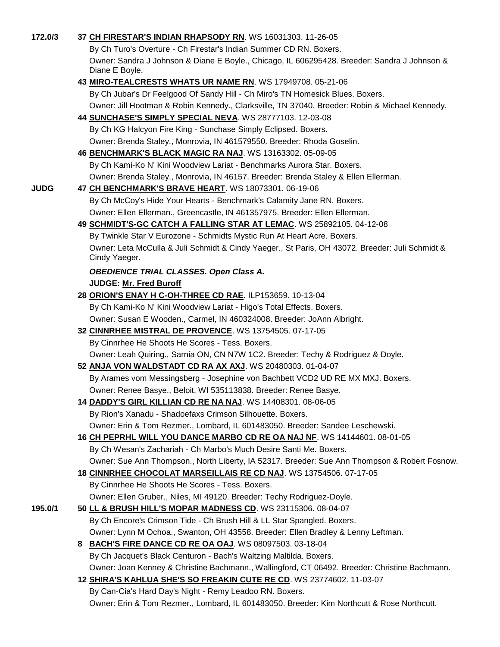| 172.0/3     | 37 CH FIRESTAR'S INDIAN RHAPSODY RN. WS 16031303. 11-26-05                                                                                    |
|-------------|-----------------------------------------------------------------------------------------------------------------------------------------------|
|             | By Ch Turo's Overture - Ch Firestar's Indian Summer CD RN. Boxers.                                                                            |
|             | Owner: Sandra J Johnson & Diane E Boyle., Chicago, IL 606295428. Breeder: Sandra J Johnson &<br>Diane E Boyle.                                |
|             | 43 MIRO-TEALCRESTS WHATS UR NAME RN. WS 17949708. 05-21-06                                                                                    |
|             | By Ch Jubar's Dr Feelgood Of Sandy Hill - Ch Miro's TN Homesick Blues. Boxers.                                                                |
|             | Owner: Jill Hootman & Robin Kennedy., Clarksville, TN 37040. Breeder: Robin & Michael Kennedy.                                                |
|             | 44 SUNCHASE'S SIMPLY SPECIAL NEVA. WS 28777103. 12-03-08                                                                                      |
|             | By Ch KG Halcyon Fire King - Sunchase Simply Eclipsed. Boxers.                                                                                |
|             | Owner: Brenda Staley., Monrovia, IN 461579550. Breeder: Rhoda Goselin.                                                                        |
|             | 46 BENCHMARK'S BLACK MAGIC RA NAJ. WS 13163302. 05-09-05                                                                                      |
|             | By Ch Kami-Ko N' Kini Woodview Lariat - Benchmarks Aurora Star. Boxers.                                                                       |
|             | Owner: Brenda Staley., Monrovia, IN 46157. Breeder: Brenda Staley & Ellen Ellerman.                                                           |
| <b>JUDG</b> | 47 CH BENCHMARK'S BRAVE HEART. WS 18073301. 06-19-06                                                                                          |
|             | By Ch McCoy's Hide Your Hearts - Benchmark's Calamity Jane RN. Boxers.                                                                        |
|             | Owner: Ellen Ellerman., Greencastle, IN 461357975. Breeder: Ellen Ellerman.                                                                   |
|             | 49 SCHMIDT'S-GC CATCH A FALLING STAR AT LEMAC. WS 25892105. 04-12-08                                                                          |
|             | By Twinkle Star V Eurozone - Schmidts Mystic Run At Heart Acre. Boxers.                                                                       |
|             | Owner: Leta McCulla & Juli Schmidt & Cindy Yaeger., St Paris, OH 43072. Breeder: Juli Schmidt &<br>Cindy Yaeger.                              |
|             | <b>OBEDIENCE TRIAL CLASSES. Open Class A.</b>                                                                                                 |
|             | <b>JUDGE: Mr. Fred Buroff</b>                                                                                                                 |
|             | 28 ORION'S ENAY H C-OH-THREE CD RAE. ILP153659. 10-13-04                                                                                      |
|             | By Ch Kami-Ko N' Kini Woodview Lariat - Higo's Total Effects. Boxers.                                                                         |
|             | Owner: Susan E Wooden., Carmel, IN 460324008. Breeder: JoAnn Albright.                                                                        |
|             | 32 CINNRHEE MISTRAL DE PROVENCE. WS 13754505. 07-17-05                                                                                        |
|             | By Cinnrhee He Shoots He Scores - Tess. Boxers.                                                                                               |
|             | Owner: Leah Quiring., Sarnia ON, CN N7W 1C2. Breeder: Techy & Rodriguez & Doyle.<br>52 ANJA VON WALDSTADT CD RA AX AXJ. WS 20480303. 01-04-07 |
|             | By Arames vom Messingsberg - Josephine von Bachbett VCD2 UD RE MX MXJ. Boxers.                                                                |
|             | Owner: Renee Basye., Beloit, WI 535113838. Breeder: Renee Basye.                                                                              |
|             | 14 DADDY'S GIRL KILLIAN CD RE NA NAJ. WS 14408301. 08-06-05                                                                                   |
|             | By Rion's Xanadu - Shadoefaxs Crimson Silhouette. Boxers.                                                                                     |
|             | Owner: Erin & Tom Rezmer., Lombard, IL 601483050. Breeder: Sandee Leschewski.                                                                 |
|             | 16 CH PEPRHL WILL YOU DANCE MARBO CD RE OA NAJ NF. WS 14144601. 08-01-05                                                                      |
|             | By Ch Wesan's Zachariah - Ch Marbo's Much Desire Santi Me. Boxers.                                                                            |
|             | Owner: Sue Ann Thompson., North Liberty, IA 52317. Breeder: Sue Ann Thompson & Robert Fosnow.                                                 |
|             | 18 CINNRHEE CHOCOLAT MARSEILLAIS RE CD NAJ. WS 13754506. 07-17-05                                                                             |
|             | By Cinnrhee He Shoots He Scores - Tess. Boxers.                                                                                               |
|             | Owner: Ellen Gruber., Niles, MI 49120. Breeder: Techy Rodriguez-Doyle.                                                                        |
| 195.0/1     | 50 LL & BRUSH HILL'S MOPAR MADNESS CD. WS 23115306. 08-04-07                                                                                  |
|             | By Ch Encore's Crimson Tide - Ch Brush Hill & LL Star Spangled. Boxers.                                                                       |
|             | Owner: Lynn M Ochoa., Swanton, OH 43558. Breeder: Ellen Bradley & Lenny Leftman.                                                              |
|             | 8 BACH'S FIRE DANCE CD RE OA OAJ. WS 08097503. 03-18-04                                                                                       |
|             | By Ch Jacquet's Black Centuron - Bach's Waltzing Maltilda. Boxers.                                                                            |
|             | Owner: Joan Kenney & Christine Bachmann., Wallingford, CT 06492. Breeder: Christine Bachmann.                                                 |
|             | 12 SHIRA'S KAHLUA SHE'S SO FREAKIN CUTE RE CD. WS 23774602. 11-03-07                                                                          |
|             | By Can-Cia's Hard Day's Night - Remy Leadoo RN. Boxers.                                                                                       |
|             | Owner: Erin & Tom Rezmer., Lombard, IL 601483050. Breeder: Kim Northcutt & Rose Northcutt.                                                    |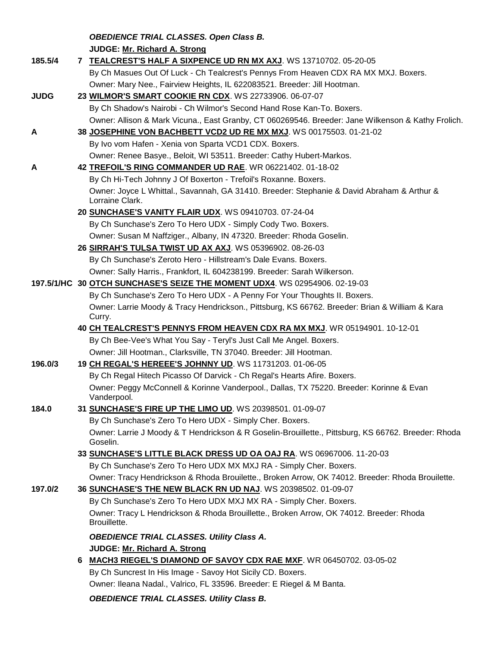*OBEDIENCE TRIAL CLASSES. Open Class B.* **JUDGE: [Mr. Richard A. Strong](http://www.infodog.com/judges/2197/juddat.htm)** 

| 185.5/4     | 7 TEALCREST'S HALF A SIXPENCE UD RN MX AXJ. WS 13710702. 05-20-05                                               |
|-------------|-----------------------------------------------------------------------------------------------------------------|
|             | By Ch Masues Out Of Luck - Ch Tealcrest's Pennys From Heaven CDX RA MX MXJ. Boxers.                             |
|             | Owner: Mary Nee., Fairview Heights, IL 622083521. Breeder: Jill Hootman.                                        |
| <b>JUDG</b> | 23 WILMOR'S SMART COOKIE RN CDX. WS 22733906. 06-07-07                                                          |
|             | By Ch Shadow's Nairobi - Ch Wilmor's Second Hand Rose Kan-To. Boxers.                                           |
|             | Owner: Allison & Mark Vicuna., East Granby, CT 060269546. Breeder: Jane Wilkenson & Kathy Frolich.              |
| A           | 38 JOSEPHINE VON BACHBETT VCD2 UD RE MX MXJ. WS 00175503. 01-21-02                                              |
|             | By Ivo vom Hafen - Xenia von Sparta VCD1 CDX. Boxers.                                                           |
|             | Owner: Renee Basye., Beloit, WI 53511. Breeder: Cathy Hubert-Markos.                                            |
| A           | 42 TREFOIL'S RING COMMANDER UD RAE. WR 06221402. 01-18-02                                                       |
|             | By Ch Hi-Tech Johnny J Of Boxerton - Trefoil's Roxanne. Boxers.                                                 |
|             | Owner: Joyce L Whittal., Savannah, GA 31410. Breeder: Stephanie & David Abraham & Arthur &<br>Lorraine Clark.   |
|             | 20 SUNCHASE'S VANITY FLAIR UDX. WS 09410703. 07-24-04                                                           |
|             | By Ch Sunchase's Zero To Hero UDX - Simply Cody Two. Boxers.                                                    |
|             | Owner: Susan M Naffziger., Albany, IN 47320. Breeder: Rhoda Goselin.                                            |
|             | 26 SIRRAH'S TULSA TWIST UD AX AXJ. WS 05396902. 08-26-03                                                        |
|             | By Ch Sunchase's Zeroto Hero - Hillstream's Dale Evans. Boxers.                                                 |
|             | Owner: Sally Harris., Frankfort, IL 604238199. Breeder: Sarah Wilkerson.                                        |
|             | 197.5/1/HC 30 OTCH SUNCHASE'S SEIZE THE MOMENT UDX4. WS 02954906. 02-19-03                                      |
|             | By Ch Sunchase's Zero To Hero UDX - A Penny For Your Thoughts II. Boxers.                                       |
|             | Owner: Larrie Moody & Tracy Hendrickson., Pittsburg, KS 66762. Breeder: Brian & William & Kara<br>Curry.        |
|             | 40 CH TEALCREST'S PENNYS FROM HEAVEN CDX RA MX MXJ. WR 05194901. 10-12-01                                       |
|             | By Ch Bee-Vee's What You Say - Teryl's Just Call Me Angel. Boxers.                                              |
|             | Owner: Jill Hootman., Clarksville, TN 37040. Breeder: Jill Hootman.                                             |
| 196.0/3     | 19 CH REGAL'S HEREEE'S JOHNNY UD. WS 11731203. 01-06-05                                                         |
|             | By Ch Regal Hitech Picasso Of Darvick - Ch Regal's Hearts Afire. Boxers.                                        |
|             | Owner: Peggy McConnell & Korinne Vanderpool., Dallas, TX 75220. Breeder: Korinne & Evan<br>Vanderpool.          |
| 184.0       | 31 SUNCHASE'S FIRE UP THE LIMO UD. WS 20398501. 01-09-07                                                        |
|             | By Ch Sunchase's Zero To Hero UDX - Simply Cher. Boxers.                                                        |
|             | Owner: Larrie J Moody & T Hendrickson & R Goselin-Brouillette., Pittsburg, KS 66762. Breeder: Rhoda<br>Goselin. |
|             | 33 SUNCHASE'S LITTLE BLACK DRESS UD OA OAJ RA. WS 06967006. 11-20-03                                            |
|             | By Ch Sunchase's Zero To Hero UDX MX MXJ RA - Simply Cher. Boxers.                                              |
|             | Owner: Tracy Hendrickson & Rhoda Brouilette., Broken Arrow, OK 74012. Breeder: Rhoda Brouilette.                |
| 197.0/2     | 36 SUNCHASE'S THE NEW BLACK RN UD NAJ. WS 20398502. 01-09-07                                                    |
|             | By Ch Sunchase's Zero To Hero UDX MXJ MX RA - Simply Cher. Boxers.                                              |
|             | Owner: Tracy L Hendrickson & Rhoda Brouillette., Broken Arrow, OK 74012. Breeder: Rhoda<br>Brouillette.         |
|             | <b>OBEDIENCE TRIAL CLASSES. Utility Class A.</b>                                                                |
|             | JUDGE: Mr. Richard A. Strong                                                                                    |
|             | 6 MACH3 RIEGEL'S DIAMOND OF SAVOY CDX RAE MXF. WR 06450702. 03-05-02                                            |
|             | By Ch Suncrest In His Image - Savoy Hot Sicily CD. Boxers.                                                      |
|             | Owner: Ileana Nadal., Valrico, FL 33596. Breeder: E Riegel & M Banta.                                           |
|             | <b>OBEDIENCE TRIAL CLASSES. Utility Class B.</b>                                                                |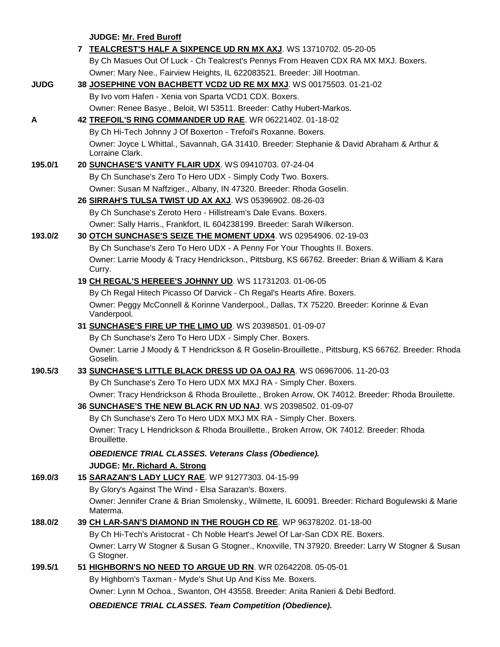**JUDGE: [Mr. Fred Buroff](http://www.infodog.com/judges/5277/juddat.htm)** 

|             | 7 TEALCREST'S HALF A SIXPENCE UD RN MX AXJ. WS 13710702. 05-20-05                                               |
|-------------|-----------------------------------------------------------------------------------------------------------------|
|             | By Ch Masues Out Of Luck - Ch Tealcrest's Pennys From Heaven CDX RA MX MXJ. Boxers.                             |
|             | Owner: Mary Nee., Fairview Heights, IL 622083521. Breeder: Jill Hootman.                                        |
| <b>JUDG</b> | 38 JOSEPHINE VON BACHBETT VCD2 UD RE MX MXJ. WS 00175503. 01-21-02                                              |
|             | By Ivo vom Hafen - Xenia von Sparta VCD1 CDX. Boxers.                                                           |
|             | Owner: Renee Basye., Beloit, WI 53511. Breeder: Cathy Hubert-Markos.                                            |
| A           | 42 TREFOIL'S RING COMMANDER UD RAE. WR 06221402. 01-18-02                                                       |
|             | By Ch Hi-Tech Johnny J Of Boxerton - Trefoil's Roxanne. Boxers.                                                 |
|             | Owner: Joyce L Whittal., Savannah, GA 31410. Breeder: Stephanie & David Abraham & Arthur &<br>Lorraine Clark.   |
| 195.0/1     | 20 SUNCHASE'S VANITY FLAIR UDX. WS 09410703. 07-24-04                                                           |
|             | By Ch Sunchase's Zero To Hero UDX - Simply Cody Two. Boxers.                                                    |
|             | Owner: Susan M Naffziger., Albany, IN 47320. Breeder: Rhoda Goselin.                                            |
|             | 26 SIRRAH'S TULSA TWIST UD AX AXJ. WS 05396902. 08-26-03                                                        |
|             | By Ch Sunchase's Zeroto Hero - Hillstream's Dale Evans. Boxers.                                                 |
|             | Owner: Sally Harris., Frankfort, IL 604238199. Breeder: Sarah Wilkerson.                                        |
| 193.0/2     | 30 OTCH SUNCHASE'S SEIZE THE MOMENT UDX4. WS 02954906. 02-19-03                                                 |
|             | By Ch Sunchase's Zero To Hero UDX - A Penny For Your Thoughts II. Boxers.                                       |
|             | Owner: Larrie Moody & Tracy Hendrickson., Pittsburg, KS 66762. Breeder: Brian & William & Kara<br>Curry.        |
|             | 19 CH REGAL'S HEREEE'S JOHNNY UD. WS 11731203. 01-06-05                                                         |
|             | By Ch Regal Hitech Picasso Of Darvick - Ch Regal's Hearts Afire. Boxers.                                        |
|             | Owner: Peggy McConnell & Korinne Vanderpool., Dallas, TX 75220. Breeder: Korinne & Evan<br>Vanderpool.          |
|             | 31 SUNCHASE'S FIRE UP THE LIMO UD. WS 20398501. 01-09-07                                                        |
|             | By Ch Sunchase's Zero To Hero UDX - Simply Cher. Boxers.                                                        |
|             | Owner: Larrie J Moody & T Hendrickson & R Goselin-Brouillette., Pittsburg, KS 66762. Breeder: Rhoda<br>Goselin. |
| 190.5/3     | 33 SUNCHASE'S LITTLE BLACK DRESS UD OA OAJ RA. WS 06967006. 11-20-03                                            |
|             | By Ch Sunchase's Zero To Hero UDX MX MXJ RA - Simply Cher. Boxers.                                              |
|             | Owner: Tracy Hendrickson & Rhoda Brouilette., Broken Arrow, OK 74012. Breeder: Rhoda Brouilette.                |
|             | 36 SUNCHASE'S THE NEW BLACK RN UD NAJ. WS 20398502. 01-09-07                                                    |
|             | By Ch Sunchase's Zero To Hero UDX MXJ MX RA - Simply Cher. Boxers.                                              |
|             | Owner: Tracy L Hendrickson & Rhoda Brouillette., Broken Arrow, OK 74012. Breeder: Rhoda<br>Brouillette.         |
|             | <b>OBEDIENCE TRIAL CLASSES. Veterans Class (Obedience).</b><br>JUDGE: Mr. Richard A. Strong                     |
| 169.0/3     | 15 SARAZAN'S LADY LUCY RAE. WP 91277303. 04-15-99                                                               |
|             | By Glory's Against The Wind - Elsa Sarazan's. Boxers.                                                           |
|             | Owner: Jennifer Crane & Brian Smolensky., Wilmette, IL 60091. Breeder: Richard Bogulewski & Marie               |
|             | Materma.                                                                                                        |
| 188.0/2     | 39 CH LAR-SAN'S DIAMOND IN THE ROUGH CD RE. WP 96378202. 01-18-00                                               |
|             | By Ch Hi-Tech's Aristocrat - Ch Noble Heart's Jewel Of Lar-San CDX RE. Boxers.                                  |
|             | Owner: Larry W Stogner & Susan G Stogner., Knoxville, TN 37920. Breeder: Larry W Stogner & Susan<br>G Stogner.  |
| 199.5/1     | 51 HIGHBORN'S NO NEED TO ARGUE UD RN. WR 02642208. 05-05-01                                                     |
|             | By Highborn's Taxman - Myde's Shut Up And Kiss Me. Boxers.                                                      |
|             | Owner: Lynn M Ochoa., Swanton, OH 43558. Breeder: Anita Ranieri & Debi Bedford.                                 |
|             | <b>OBEDIENCE TRIAL CLASSES. Team Competition (Obedience).</b>                                                   |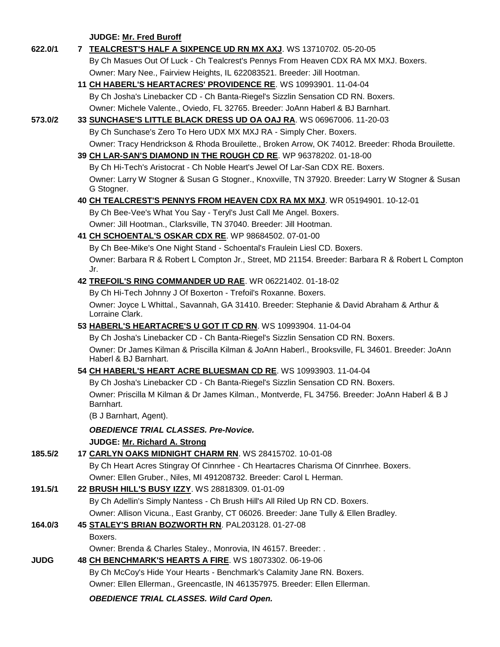**JUDGE: [Mr. Fred Buroff](http://www.infodog.com/judges/5277/juddat.htm)** 

| 622.0/1     | 7 TEALCREST'S HALF A SIXPENCE UD RN MX AXJ. WS 13710702. 05-20-05                                                         |
|-------------|---------------------------------------------------------------------------------------------------------------------------|
|             | By Ch Masues Out Of Luck - Ch Tealcrest's Pennys From Heaven CDX RA MX MXJ. Boxers.                                       |
|             | Owner: Mary Nee., Fairview Heights, IL 622083521. Breeder: Jill Hootman.                                                  |
|             | 11 CH HABERL'S HEARTACRES' PROVIDENCE RE. WS 10993901. 11-04-04                                                           |
|             | By Ch Josha's Linebacker CD - Ch Banta-Riegel's Sizzlin Sensation CD RN. Boxers.                                          |
|             | Owner: Michele Valente., Oviedo, FL 32765. Breeder: JoAnn Haberl & BJ Barnhart.                                           |
| 573.0/2     | 33 SUNCHASE'S LITTLE BLACK DRESS UD OA OAJ RA. WS 06967006. 11-20-03                                                      |
|             | By Ch Sunchase's Zero To Hero UDX MX MXJ RA - Simply Cher. Boxers.                                                        |
|             | Owner: Tracy Hendrickson & Rhoda Brouilette., Broken Arrow, OK 74012. Breeder: Rhoda Brouilette.                          |
|             | 39 CH LAR-SAN'S DIAMOND IN THE ROUGH CD RE. WP 96378202. 01-18-00                                                         |
|             | By Ch Hi-Tech's Aristocrat - Ch Noble Heart's Jewel Of Lar-San CDX RE. Boxers.                                            |
|             |                                                                                                                           |
|             | Owner: Larry W Stogner & Susan G Stogner., Knoxville, TN 37920. Breeder: Larry W Stogner & Susan<br>G Stogner.            |
|             | 40 CH TEALCREST'S PENNYS FROM HEAVEN CDX RA MX MXJ. WR 05194901. 10-12-01                                                 |
|             | By Ch Bee-Vee's What You Say - Teryl's Just Call Me Angel. Boxers.                                                        |
|             | Owner: Jill Hootman., Clarksville, TN 37040. Breeder: Jill Hootman.                                                       |
|             | 41 CH SCHOENTAL'S OSKAR CDX RE. WP 98684502. 07-01-00                                                                     |
|             | By Ch Bee-Mike's One Night Stand - Schoental's Fraulein Liesl CD. Boxers.                                                 |
|             | Owner: Barbara R & Robert L Compton Jr., Street, MD 21154. Breeder: Barbara R & Robert L Compton                          |
|             | Jr.                                                                                                                       |
|             | 42 TREFOIL'S RING COMMANDER UD RAE. WR 06221402. 01-18-02                                                                 |
|             | By Ch Hi-Tech Johnny J Of Boxerton - Trefoil's Roxanne. Boxers.                                                           |
|             | Owner: Joyce L Whittal., Savannah, GA 31410. Breeder: Stephanie & David Abraham & Arthur &<br>Lorraine Clark.             |
|             | 53 HABERL'S HEARTACRE'S U GOT IT CD RN. WS 10993904. 11-04-04                                                             |
|             | By Ch Josha's Linebacker CD - Ch Banta-Riegel's Sizzlin Sensation CD RN. Boxers.                                          |
|             | Owner: Dr James Kilman & Priscilla Kilman & JoAnn Haberl., Brooksville, FL 34601. Breeder: JoAnn<br>Haberl & BJ Barnhart. |
|             | 54 CH HABERL'S HEART ACRE BLUESMAN CD RE. WS 10993903. 11-04-04                                                           |
|             | By Ch Josha's Linebacker CD - Ch Banta-Riegel's Sizzlin Sensation CD RN. Boxers.                                          |
|             | Owner: Priscilla M Kilman & Dr James Kilman., Montverde, FL 34756. Breeder: JoAnn Haberl & B J<br>Barnhart.               |
|             | (B J Barnhart, Agent).                                                                                                    |
|             | <b>OBEDIENCE TRIAL CLASSES. Pre-Novice.</b>                                                                               |
|             | JUDGE: Mr. Richard A. Strong                                                                                              |
| 185.5/2     | 17 CARLYN OAKS MIDNIGHT CHARM RN. WS 28415702. 10-01-08                                                                   |
|             | By Ch Heart Acres Stingray Of Cinnrhee - Ch Heartacres Charisma Of Cinnrhee. Boxers.                                      |
|             | Owner: Ellen Gruber., Niles, MI 491208732. Breeder: Carol L Herman.                                                       |
| 191.5/1     | 22 BRUSH HILL'S BUSY IZZY. WS 28818309. 01-01-09                                                                          |
|             | By Ch Adellin's Simply Nantess - Ch Brush Hill's All Riled Up RN CD. Boxers.                                              |
|             | Owner: Allison Vicuna., East Granby, CT 06026. Breeder: Jane Tully & Ellen Bradley.                                       |
| 164.0/3     | 45 STALEY'S BRIAN BOZWORTH RN. PAL203128. 01-27-08                                                                        |
|             | Boxers.                                                                                                                   |
|             | Owner: Brenda & Charles Staley., Monrovia, IN 46157. Breeder: .                                                           |
| <b>JUDG</b> | 48 CH BENCHMARK'S HEARTS A FIRE. WS 18073302. 06-19-06                                                                    |
|             | By Ch McCoy's Hide Your Hearts - Benchmark's Calamity Jane RN. Boxers.                                                    |
|             | Owner: Ellen Ellerman., Greencastle, IN 461357975. Breeder: Ellen Ellerman.                                               |
|             | <b>OBEDIENCE TRIAL CLASSES. Wild Card Open.</b>                                                                           |